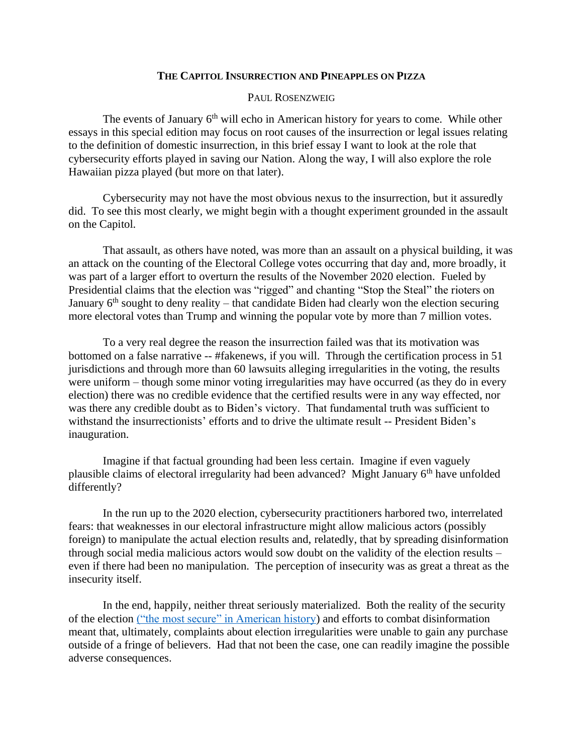## **THE CAPITOL INSURRECTION AND PINEAPPLES ON PIZZA**

## PAUL ROSENZWEIG

The events of January 6<sup>th</sup> will echo in American history for years to come. While other essays in this special edition may focus on root causes of the insurrection or legal issues relating to the definition of domestic insurrection, in this brief essay I want to look at the role that cybersecurity efforts played in saving our Nation. Along the way, I will also explore the role Hawaiian pizza played (but more on that later).

Cybersecurity may not have the most obvious nexus to the insurrection, but it assuredly did. To see this most clearly, we might begin with a thought experiment grounded in the assault on the Capitol.

That assault, as others have noted, was more than an assault on a physical building, it was an attack on the counting of the Electoral College votes occurring that day and, more broadly, it was part of a larger effort to overturn the results of the November 2020 election. Fueled by Presidential claims that the election was "rigged" and chanting "Stop the Steal" the rioters on January  $6<sup>th</sup>$  sought to deny reality – that candidate Biden had clearly won the election securing more electoral votes than Trump and winning the popular vote by more than 7 million votes.

To a very real degree the reason the insurrection failed was that its motivation was bottomed on a false narrative -- #fakenews, if you will. Through the certification process in 51 jurisdictions and through more than 60 lawsuits alleging irregularities in the voting, the results were uniform – though some minor voting irregularities may have occurred (as they do in every election) there was no credible evidence that the certified results were in any way effected, nor was there any credible doubt as to Biden's victory. That fundamental truth was sufficient to withstand the insurrectionists' efforts and to drive the ultimate result -- President Biden's inauguration.

Imagine if that factual grounding had been less certain. Imagine if even vaguely plausible claims of electoral irregularity had been advanced? Might January 6<sup>th</sup> have unfolded differently?

In the run up to the 2020 election, cybersecurity practitioners harbored two, interrelated fears: that weaknesses in our electoral infrastructure might allow malicious actors (possibly foreign) to manipulate the actual election results and, relatedly, that by spreading disinformation through social media malicious actors would sow doubt on the validity of the election results – even if there had been no manipulation. The perception of insecurity was as great a threat as the insecurity itself.

In the end, happily, neither threat seriously materialized. Both the reality of the security of the election [\("the most secure" in American history\)](https://www.washingtonpost.com/opinions/christopher-krebs-trump-election-wasnt-hacked/2020/12/01/88da94a0-340f-11eb-8d38-6aea1adb3839_story.html) and efforts to combat disinformation meant that, ultimately, complaints about election irregularities were unable to gain any purchase outside of a fringe of believers. Had that not been the case, one can readily imagine the possible adverse consequences.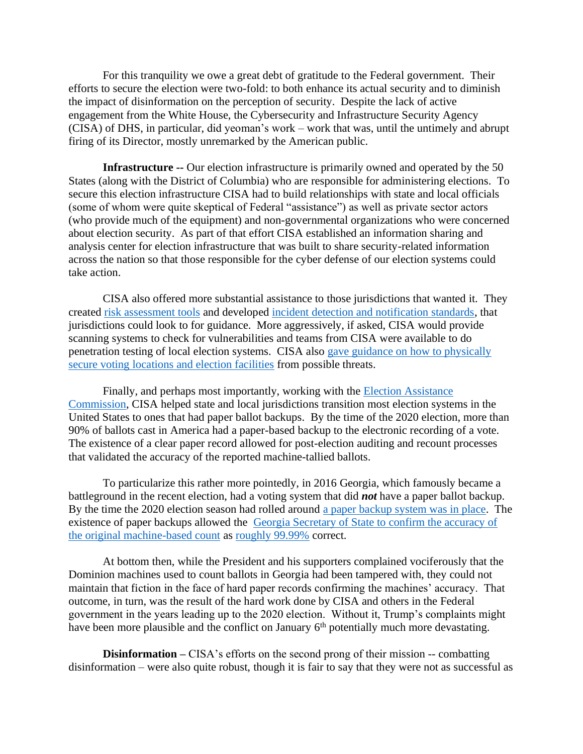For this tranquility we owe a great debt of gratitude to the Federal government. Their efforts to secure the election were two-fold: to both enhance its actual security and to diminish the impact of disinformation on the perception of security. Despite the lack of active engagement from the White House, the Cybersecurity and Infrastructure Security Agency (CISA) of DHS, in particular, did yeoman's work – work that was, until the untimely and abrupt firing of its Director, mostly unremarked by the American public.

**Infrastructure --** Our election infrastructure is primarily owned and operated by the 50 States (along with the District of Columbia) who are responsible for administering elections. To secure this election infrastructure CISA had to build relationships with state and local officials (some of whom were quite skeptical of Federal "assistance") as well as private sector actors (who provide much of the equipment) and non-governmental organizations who were concerned about election security. As part of that effort CISA established an information sharing and analysis center for election infrastructure that was built to share security-related information across the nation so that those responsible for the cyber defense of our election systems could take action.

CISA also offered more substantial assistance to those jurisdictions that wanted it. They created [risk assessment](https://www.cisa.gov/publication/election-cyber-risk) tools and developed [incident detection and notification standards,](https://www.cisa.gov/publication/protect2020-cyber-incident-guide) that jurisdictions could look to for guidance. More aggressively, if asked, CISA would provide scanning systems to check for vulnerabilities and teams from CISA were available to do penetration testing of local election systems. CISA also [gave guidance on how to physically](https://www.cisa.gov/publication/physical-security-voting-locations)  [secure voting locations and election facilities](https://www.cisa.gov/publication/physical-security-voting-locations) from possible threats.

Finally, and perhaps most importantly, working with the [Election Assistance](https://www.eac.gov/)  [Commission,](https://www.eac.gov/) CISA helped state and local jurisdictions transition most election systems in the United States to ones that had paper ballot backups. By the time of the 2020 election, more than 90% of ballots cast in America had a paper-based backup to the electronic recording of a vote. The existence of a clear paper record allowed for post-election auditing and recount processes that validated the accuracy of the reported machine-tallied ballots.

To particularize this rather more pointedly, in 2016 Georgia, which famously became a battleground in the recent election, had a voting system that did *not* have a paper ballot backup. By the time the 2020 election season had rolled around [a paper backup system was in place.](https://www.aaas.org/news/election-day-2019) The existence of paper backups allowed the [Georgia Secretary of State to confirm the accuracy of](https://www.nytimes.com/interactive/2020/11/19/us/elections/georgia-recount.html)  [the original machine-based count](https://www.nytimes.com/interactive/2020/11/19/us/elections/georgia-recount.html) as [roughly 99.99%](https://www.washingtonpost.com/elections/2020/11/19/joe-biden-trump-transition-live-updates/?itid=lk_inline_manual_19) correct.

At bottom then, while the President and his supporters complained vociferously that the Dominion machines used to count ballots in Georgia had been tampered with, they could not maintain that fiction in the face of hard paper records confirming the machines' accuracy. That outcome, in turn, was the result of the hard work done by CISA and others in the Federal government in the years leading up to the 2020 election. Without it, Trump's complaints might have been more plausible and the conflict on January 6<sup>th</sup> potentially much more devastating.

**Disinformation** – CISA's efforts on the second prong of their mission -- combatting disinformation – were also quite robust, though it is fair to say that they were not as successful as